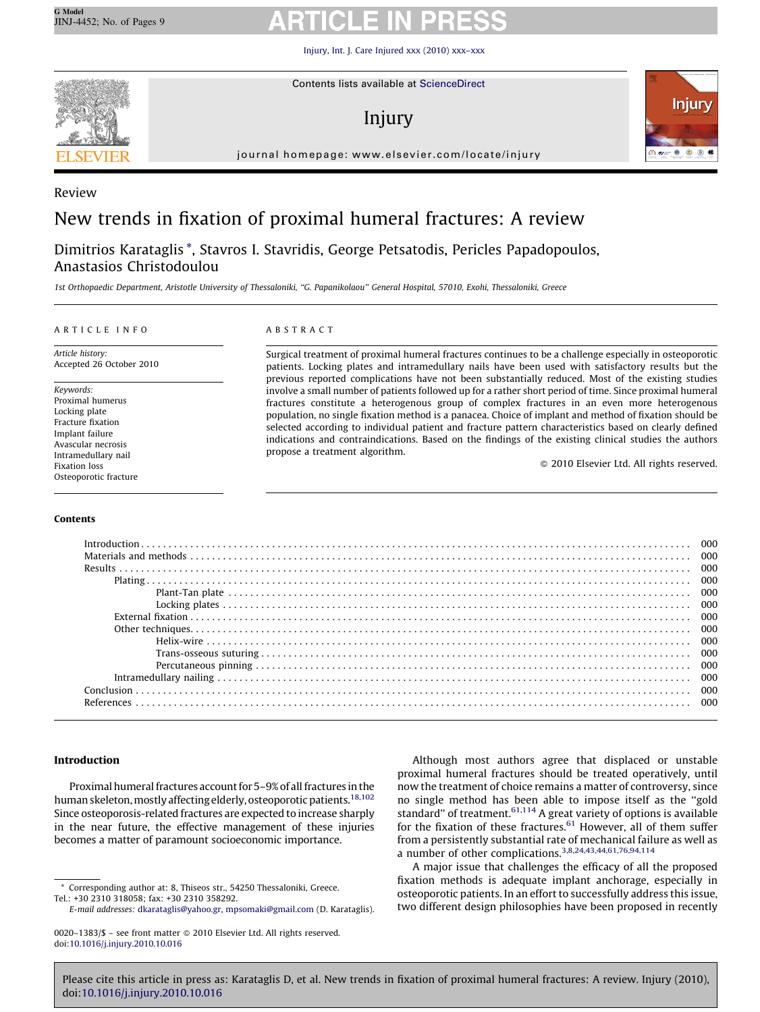[Injury, Int. J. Care Injured xxx \(2010\) xxx–xxx](http://dx.doi.org/10.1016/j.injury.2010.10.016)



Contents lists available at [ScienceDirect](http://www.sciencedirect.com/science/journal/00201383)

# Injury



journal homepage: www.elsevier.com/locate/injury

# Review

# New trends in fixation of proximal humeral fractures: A review

Dimitrios Karataglis \*, Stavros I. Stavridis, George Petsatodis, Pericles Papadopoulos, Anastasios Christodoulou

1st Orthopaedic Department, Aristotle University of Thessaloniki, ''G. Papanikolaou'' General Hospital, 57010, Exohi, Thessaloniki, Greece

### ARTICLE INFO

Article history: Accepted 26 October 2010

Keywords: Proximal humerus Locking plate Fracture fixation Implant failure Avascular necrosis Intramedullary nail Fixation loss Osteoporotic fracture

Contents

### ABSTRACT

Surgical treatment of proximal humeral fractures continues to be a challenge especially in osteoporotic patients. Locking plates and intramedullary nails have been used with satisfactory results but the previous reported complications have not been substantially reduced. Most of the existing studies involve a small number of patients followed up for a rather short period of time. Since proximal humeral fractures constitute a heterogenous group of complex fractures in an even more heterogenous population, no single fixation method is a panacea. Choice of implant and method of fixation should be selected according to individual patient and fracture pattern characteristics based on clearly defined indications and contraindications. Based on the findings of the existing clinical studies the authors propose a treatment algorithm.

- 2010 Elsevier Ltd. All rights reserved.

### Introduction

Proximal humeral fractures account for 5–9% of all fractures in the human skeleton, mostly affecting elderly, osteoporotic patients.<sup>[18,102](#page-7-0)</sup> Since osteoporosis-related fractures are expected to increase sharply in the near future, the effective management of these injuries becomes a matter of paramount socioeconomic importance.

Although most authors agree that displaced or unstable proximal humeral fractures should be treated operatively, until now the treatment of choice remains a matter of controversy, since no single method has been able to impose itself as the ''gold standard" of treatment.<sup>[61,114](#page-7-0)</sup> A great variety of options is available for the fixation of these fractures. $61$  However, all of them suffer from a persistently substantial rate of mechanical failure as well as a number of other complications[.3,8,24,43,44,61,76,94,114](#page-6-0)

A major issue that challenges the efficacy of all the proposed fixation methods is adequate implant anchorage, especially in osteoporotic patients. In an effort to successfully address this issue, two different design philosophies have been proposed in recently

Corresponding author at: 8, Thiseos str., 54250 Thessaloniki, Greece. Tel.: +30 2310 318058; fax: +30 2310 358292.

E-mail addresses: [dkarataglis@yahoo.gr](mailto:dkarataglis@yahoo.gr), [mpsomaki@gmail.com](mailto:mpsomaki@gmail.com) (D. Karataglis).

<sup>0020–1383/\$ –</sup> see front matter © 2010 Elsevier Ltd. All rights reserved. doi:[10.1016/j.injury.2010.10.016](http://dx.doi.org/10.1016/j.injury.2010.10.016)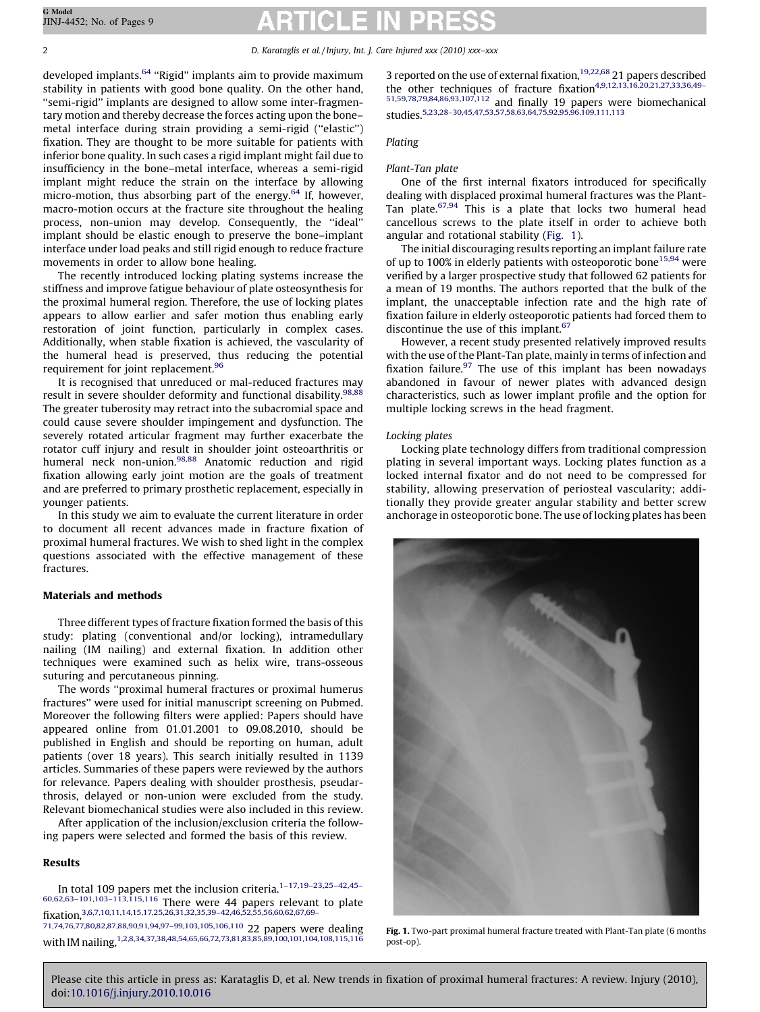2 D. Karataglis et al. / Injury, Int. J. Care Injured xxx (2010) xxx–xxx

developed implants.<sup>[64](#page-7-0)</sup> "Rigid" implants aim to provide maximum stability in patients with good bone quality. On the other hand, ''semi-rigid'' implants are designed to allow some inter-fragmentary motion and thereby decrease the forces acting upon the bone– metal interface during strain providing a semi-rigid (''elastic'') fixation. They are thought to be more suitable for patients with inferior bone quality. In such cases a rigid implant might fail due to insufficiency in the bone–metal interface, whereas a semi-rigid implant might reduce the strain on the interface by allowing micro-motion, thus absorbing part of the energy. $64$  If, however, macro-motion occurs at the fracture site throughout the healing process, non-union may develop. Consequently, the ''ideal'' implant should be elastic enough to preserve the bone–implant interface under load peaks and still rigid enough to reduce fracture movements in order to allow bone healing.

The recently introduced locking plating systems increase the stiffness and improve fatigue behaviour of plate osteosynthesis for the proximal humeral region. Therefore, the use of locking plates appears to allow earlier and safer motion thus enabling early restoration of joint function, particularly in complex cases. Additionally, when stable fixation is achieved, the vascularity of the humeral head is preserved, thus reducing the potential requirement for joint replacement.<sup>96</sup>

It is recognised that unreduced or mal-reduced fractures may result in severe shoulder deformity and functional disability.<sup>[98,88](#page-8-0)</sup> The greater tuberosity may retract into the subacromial space and could cause severe shoulder impingement and dysfunction. The severely rotated articular fragment may further exacerbate the rotator cuff injury and result in shoulder joint osteoarthritis or humeral neck non-union.<sup>98,88</sup> Anatomic reduction and rigid fixation allowing early joint motion are the goals of treatment and are preferred to primary prosthetic replacement, especially in younger patients.

In this study we aim to evaluate the current literature in order to document all recent advances made in fracture fixation of proximal humeral fractures. We wish to shed light in the complex questions associated with the effective management of these fractures.

# Materials and methods

Three different types of fracture fixation formed the basis of this study: plating (conventional and/or locking), intramedullary nailing (IM nailing) and external fixation. In addition other techniques were examined such as helix wire, trans-osseous suturing and percutaneous pinning.

The words ''proximal humeral fractures or proximal humerus fractures'' were used for initial manuscript screening on Pubmed. Moreover the following filters were applied: Papers should have appeared online from 01.01.2001 to 09.08.2010, should be published in English and should be reporting on human, adult patients (over 18 years). This search initially resulted in 1139 articles. Summaries of these papers were reviewed by the authors for relevance. Papers dealing with shoulder prosthesis, pseudarthrosis, delayed or non-union were excluded from the study. Relevant biomechanical studies were also included in this review.

After application of the inclusion/exclusion criteria the following papers were selected and formed the basis of this review.

# Results

In total 109 papers met the inclusion criteria.<sup>1-17,19-23,25-42,45-</sup> [60,62,63–101,103–113,115,116](#page-6-0) There were 44 papers relevant to plate fixation[,3,6,7,10,11,14,15,17,25,26,31,32,35,39–42,46,52,55,56,60,62,67,69–](#page-6-0) [71,74,76,77,80,82,87,88,90,91,94,97–99,103,105,106,110](#page-6-0) 22 papers were dealing

with IM nailing[,1,2,8,34,37,38,48,54,65,66,72,73,81,83,85,89,100,101,104,108,115,116](#page-6-0)

doi[:10.1016/j.injury.2010.10.016](http://dx.doi.org/10.1016/j.injury.2010.10.016)

3 reported on the use of external fixation,<sup>19,22,68</sup> 21 papers described the other techniques of fracture fixation<sup>4,9,12,13,16,20,21,27,33,36,49-</sup> [51,59,78,79,84,86,93,107,112](#page-6-0) and finally 19 papers were biomechanical studies[.5,23,28–30,45,47,53,57,58,63,64,75,92,95,96,109,111,113](#page-6-0)

### Plating

# Plant-Tan plate

One of the first internal fixators introduced for specifically dealing with displaced proximal humeral fractures was the Plant-Tan plate.<sup>[67,94](#page-7-0)</sup> This is a plate that locks two humeral head cancellous screws to the plate itself in order to achieve both angular and rotational stability (Fig. 1).

The initial discouraging results reporting an implant failure rate of up to 100% in elderly patients with osteoporotic bone<sup>[15,94](#page-6-0)</sup> were verified by a larger prospective study that followed 62 patients for a mean of 19 months. The authors reported that the bulk of the implant, the unacceptable infection rate and the high rate of fixation failure in elderly osteoporotic patients had forced them to discontinue the use of this implant.<sup>67</sup>

However, a recent study presented relatively improved results with the use of the Plant-Tan plate, mainly in terms of infection and fixation failure. $97$  The use of this implant has been nowadays abandoned in favour of newer plates with advanced design characteristics, such as lower implant profile and the option for multiple locking screws in the head fragment.

### Locking plates

Please cite this article in press as: Karataglis D, et al. New trends in fixation of proximal humeral fractures: A review. Injury (2010),

Locking plate technology differs from traditional compression plating in several important ways. Locking plates function as a locked internal fixator and do not need to be compressed for stability, allowing preservation of periosteal vascularity; additionally they provide greater angular stability and better screw anchorage in osteoporotic bone. The use of locking plates has been



Fig. 1. Two-part proximal humeral fracture treated with Plant-Tan plate (6 months post-op).

G Model JINJ-4452; No. of Pages 9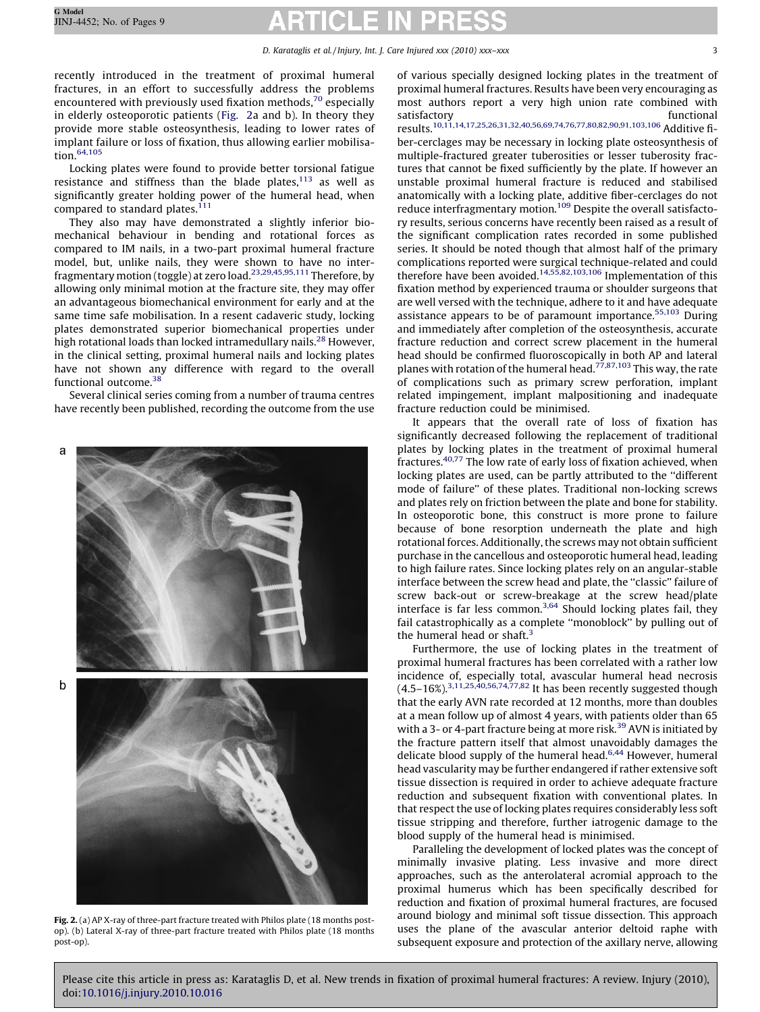### D. Karataglis et al. / Injury, Int. J. Care Injured xxx (2010) xxx-xxx 33

recently introduced in the treatment of proximal humeral fractures, in an effort to successfully address the problems encountered with previously used fixation methods, $70$  especially in elderly osteoporotic patients (Fig. 2a and b). In theory they provide more stable osteosynthesis, leading to lower rates of implant failure or loss of fixation, thus allowing earlier mobilisation.[64,105](#page-7-0)

Locking plates were found to provide better torsional fatigue resistance and stiffness than the blade plates, $113$  as well as significantly greater holding power of the humeral head, when compared to standard plates. $111$ 

They also may have demonstrated a slightly inferior biomechanical behaviour in bending and rotational forces as compared to IM nails, in a two-part proximal humeral fracture model, but, unlike nails, they were shown to have no interfragmentary motion (toggle) at zero load.[23,29,45,95,111](#page-7-0) Therefore, by allowing only minimal motion at the fracture site, they may offer an advantageous biomechanical environment for early and at the same time safe mobilisation. In a resent cadaveric study, locking plates demonstrated superior biomechanical properties under high rotational loads than locked intramedullary nails.<sup>[28](#page-7-0)</sup> However, in the clinical setting, proximal humeral nails and locking plates have not shown any difference with regard to the overall functional outcome.[38](#page-7-0)

Several clinical series coming from a number of trauma centres have recently been published, recording the outcome from the use



Fig. 2. (a) AP X-ray of three-part fracture treated with Philos plate (18 months postop). (b) Lateral X-ray of three-part fracture treated with Philos plate (18 months post-op).

of various specially designed locking plates in the treatment of proximal humeral fractures. Results have been very encouraging as most authors report a very high union rate combined with satisfactory functional results[.10,11,14,17,25,26,31,32,40,56,69,74,76,77,80,82,90,91,103,106](#page-6-0) Additive fiber-cerclages may be necessary in locking plate osteosynthesis of multiple-fractured greater tuberosities or lesser tuberosity fractures that cannot be fixed sufficiently by the plate. If however an unstable proximal humeral fracture is reduced and stabilised anatomically with a locking plate, additive fiber-cerclages do not reduce interfragmentary motion.<sup>[109](#page-8-0)</sup> Despite the overall satisfactory results, serious concerns have recently been raised as a result of the significant complication rates recorded in some published series. It should be noted though that almost half of the primary complications reported were surgical technique-related and could therefore have been avoided.[14,55,82,103,106](#page-6-0) Implementation of this fixation method by experienced trauma or shoulder surgeons that are well versed with the technique, adhere to it and have adequate assistance appears to be of paramount importance.[55,103](#page-7-0) During and immediately after completion of the osteosynthesis, accurate fracture reduction and correct screw placement in the humeral head should be confirmed fluoroscopically in both AP and lateral planes with rotation of the humeral head.<sup>[77,87,103](#page-7-0)</sup> This way, the rate of complications such as primary screw perforation, implant related impingement, implant malpositioning and inadequate fracture reduction could be minimised.

It appears that the overall rate of loss of fixation has significantly decreased following the replacement of traditional plates by locking plates in the treatment of proximal humeral fractures[.40,77](#page-7-0) The low rate of early loss of fixation achieved, when locking plates are used, can be partly attributed to the ''different mode of failure'' of these plates. Traditional non-locking screws and plates rely on friction between the plate and bone for stability. In osteoporotic bone, this construct is more prone to failure because of bone resorption underneath the plate and high rotational forces. Additionally, the screws may not obtain sufficient purchase in the cancellous and osteoporotic humeral head, leading to high failure rates. Since locking plates rely on an angular-stable interface between the screw head and plate, the ''classic'' failure of screw back-out or screw-breakage at the screw head/plate interface is far less common. $3,64$  Should locking plates fail, they fail catastrophically as a complete ''monoblock'' by pulling out of the humeral head or shaft. $3$ 

Furthermore, the use of locking plates in the treatment of proximal humeral fractures has been correlated with a rather low incidence of, especially total, avascular humeral head necrosis  $(4.5-16\%)^{3,11,25,40,56,74,77,82}$  $(4.5-16\%)^{3,11,25,40,56,74,77,82}$  $(4.5-16\%)^{3,11,25,40,56,74,77,82}$  It has been recently suggested though that the early AVN rate recorded at 12 months, more than doubles at a mean follow up of almost 4 years, with patients older than 65 with a 3- or 4-part fracture being at more risk.<sup>[39](#page-7-0)</sup> AVN is initiated by the fracture pattern itself that almost unavoidably damages the delicate blood supply of the humeral head.<sup>[6,44](#page-6-0)</sup> However, humeral head vascularity may be further endangered if rather extensive soft tissue dissection is required in order to achieve adequate fracture reduction and subsequent fixation with conventional plates. In that respect the use of locking plates requires considerably less soft tissue stripping and therefore, further iatrogenic damage to the blood supply of the humeral head is minimised.

Paralleling the development of locked plates was the concept of minimally invasive plating. Less invasive and more direct approaches, such as the anterolateral acromial approach to the proximal humerus which has been specifically described for reduction and fixation of proximal humeral fractures, are focused around biology and minimal soft tissue dissection. This approach uses the plane of the avascular anterior deltoid raphe with subsequent exposure and protection of the axillary nerve, allowing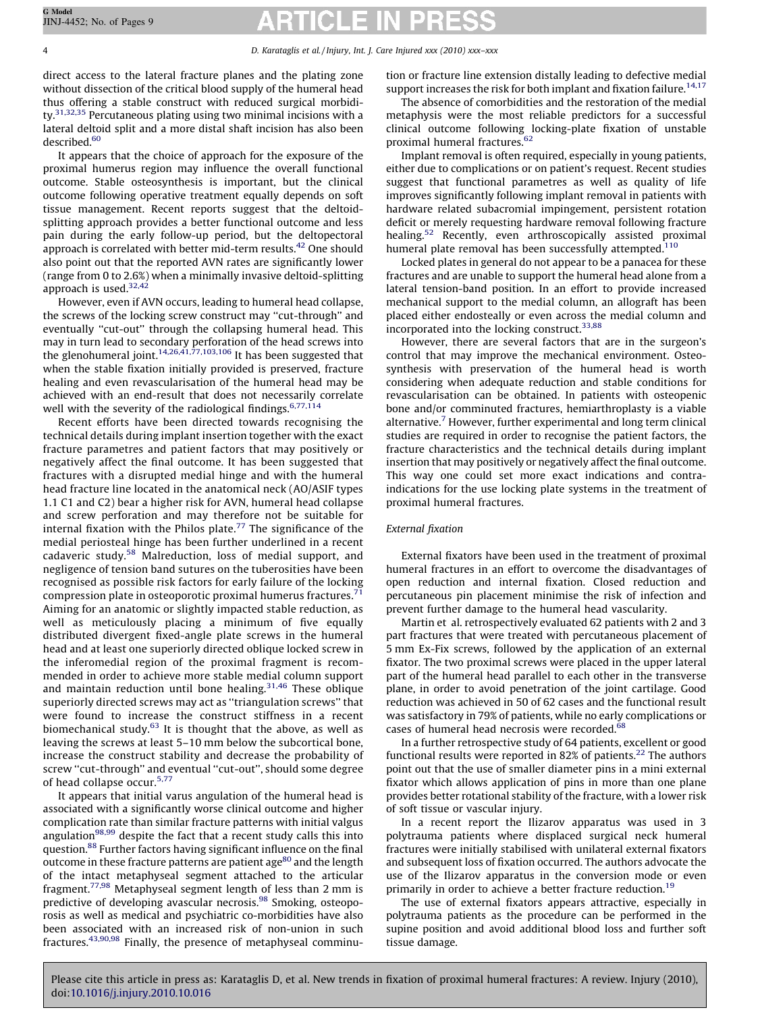direct access to the lateral fracture planes and the plating zone without dissection of the critical blood supply of the humeral head thus offering a stable construct with reduced surgical morbidity.<sup>31,32,35</sup> Percutaneous plating using two minimal incisions with a lateral deltoid split and a more distal shaft incision has also been described.<sup>60</sup>

It appears that the choice of approach for the exposure of the proximal humerus region may influence the overall functional outcome. Stable osteosynthesis is important, but the clinical outcome following operative treatment equally depends on soft tissue management. Recent reports suggest that the deltoidsplitting approach provides a better functional outcome and less pain during the early follow-up period, but the deltopectoral approach is correlated with better mid-term results.<sup>42</sup> One should also point out that the reported AVN rates are significantly lower (range from 0 to 2.6%) when a minimally invasive deltoid-splitting approach is used.<sup>[32,42](#page-7-0)</sup>

However, even if AVN occurs, leading to humeral head collapse, the screws of the locking screw construct may ''cut-through'' and eventually ''cut-out'' through the collapsing humeral head. This may in turn lead to secondary perforation of the head screws into the glenohumeral joint.<sup>[14,26,41,77,103,106](#page-6-0)</sup> It has been suggested that when the stable fixation initially provided is preserved, fracture healing and even revascularisation of the humeral head may be achieved with an end-result that does not necessarily correlate well with the severity of the radiological findings.<sup>6,77,114</sup>

Recent efforts have been directed towards recognising the technical details during implant insertion together with the exact fracture parametres and patient factors that may positively or negatively affect the final outcome. It has been suggested that fractures with a disrupted medial hinge and with the humeral head fracture line located in the anatomical neck (AO/ASIF types 1.1 C1 and C2) bear a higher risk for AVN, humeral head collapse and screw perforation and may therefore not be suitable for internal fixation with the Philos plate.<sup>[77](#page-7-0)</sup> The significance of the medial periosteal hinge has been further underlined in a recent cadaveric study.[58](#page-7-0) Malreduction, loss of medial support, and negligence of tension band sutures on the tuberosities have been recognised as possible risk factors for early failure of the locking compression plate in osteoporotic proximal humerus fractures. $71$ Aiming for an anatomic or slightly impacted stable reduction, as well as meticulously placing a minimum of five equally distributed divergent fixed-angle plate screws in the humeral head and at least one superiorly directed oblique locked screw in the inferomedial region of the proximal fragment is recommended in order to achieve more stable medial column support and maintain reduction until bone healing. $31,46$  These oblique superiorly directed screws may act as ''triangulation screws'' that were found to increase the construct stiffness in a recent biomechanical study.<sup>[63](#page-7-0)</sup> It is thought that the above, as well as leaving the screws at least 5–10 mm below the subcortical bone, increase the construct stability and decrease the probability of screw "cut-through" and eventual "cut-out", should some degree of head collapse occur.[5,77](#page-6-0)

It appears that initial varus angulation of the humeral head is associated with a significantly worse clinical outcome and higher complication rate than similar fracture patterns with initial valgus angulation $98,99$  despite the fact that a recent study calls this into question.<sup>[88](#page-8-0)</sup> Further factors having significant influence on the final outcome in these fracture patterns are patient age<sup>80</sup> and the length of the intact metaphyseal segment attached to the articular fragment.[77,98](#page-7-0) Metaphyseal segment length of less than 2 mm is predictive of developing avascular necrosis.<sup>[98](#page-8-0)</sup> Smoking, osteoporosis as well as medical and psychiatric co-morbidities have also been associated with an increased risk of non-union in such fractures.[43,90,98](#page-7-0) Finally, the presence of metaphyseal comminution or fracture line extension distally leading to defective medial support increases the risk for both implant and fixation failure.<sup>[14,17](#page-6-0)</sup>

The absence of comorbidities and the restoration of the medial metaphysis were the most reliable predictors for a successful clinical outcome following locking-plate fixation of unstable proximal humeral fractures.<sup>[62](#page-7-0)</sup>

Implant removal is often required, especially in young patients, either due to complications or on patient's request. Recent studies suggest that functional parametres as well as quality of life improves significantly following implant removal in patients with hardware related subacromial impingement, persistent rotation deficit or merely requesting hardware removal following fracture healing.<sup>[52](#page-7-0)</sup> Recently, even arthroscopically assisted proximal humeral plate removal has been successfully attempted.<sup>[110](#page-8-0)</sup>

Locked plates in general do not appear to be a panacea for these fractures and are unable to support the humeral head alone from a lateral tension-band position. In an effort to provide increased mechanical support to the medial column, an allograft has been placed either endosteally or even across the medial column and incorporated into the locking construct[.33,88](#page-7-0)

However, there are several factors that are in the surgeon's control that may improve the mechanical environment. Osteosynthesis with preservation of the humeral head is worth considering when adequate reduction and stable conditions for revascularisation can be obtained. In patients with osteopenic bone and/or comminuted fractures, hemiarthroplasty is a viable alternative.[7](#page-6-0) However, further experimental and long term clinical studies are required in order to recognise the patient factors, the fracture characteristics and the technical details during implant insertion that may positively or negatively affect the final outcome. This way one could set more exact indications and contraindications for the use locking plate systems in the treatment of proximal humeral fractures.

### External fixation

External fixators have been used in the treatment of proximal humeral fractures in an effort to overcome the disadvantages of open reduction and internal fixation. Closed reduction and percutaneous pin placement minimise the risk of infection and prevent further damage to the humeral head vascularity.

Martin et al. retrospectively evaluated 62 patients with 2 and 3 part fractures that were treated with percutaneous placement of 5 mm Ex-Fix screws, followed by the application of an external fixator. The two proximal screws were placed in the upper lateral part of the humeral head parallel to each other in the transverse plane, in order to avoid penetration of the joint cartilage. Good reduction was achieved in 50 of 62 cases and the functional result was satisfactory in 79% of patients, while no early complications or cases of humeral head necrosis were recorded.<sup>68</sup>

In a further retrospective study of 64 patients, excellent or good functional results were reported in 82% of patients.<sup>[22](#page-7-0)</sup> The authors point out that the use of smaller diameter pins in a mini external fixator which allows application of pins in more than one plane provides better rotational stability of the fracture, with a lower risk of soft tissue or vascular injury.

In a recent report the Ilizarov apparatus was used in 3 polytrauma patients where displaced surgical neck humeral fractures were initially stabilised with unilateral external fixators and subsequent loss of fixation occurred. The authors advocate the use of the Ilizarov apparatus in the conversion mode or even primarily in order to achieve a better fracture reduction.<sup>[19](#page-7-0)</sup>

The use of external fixators appears attractive, especially in polytrauma patients as the procedure can be performed in the supine position and avoid additional blood loss and further soft tissue damage.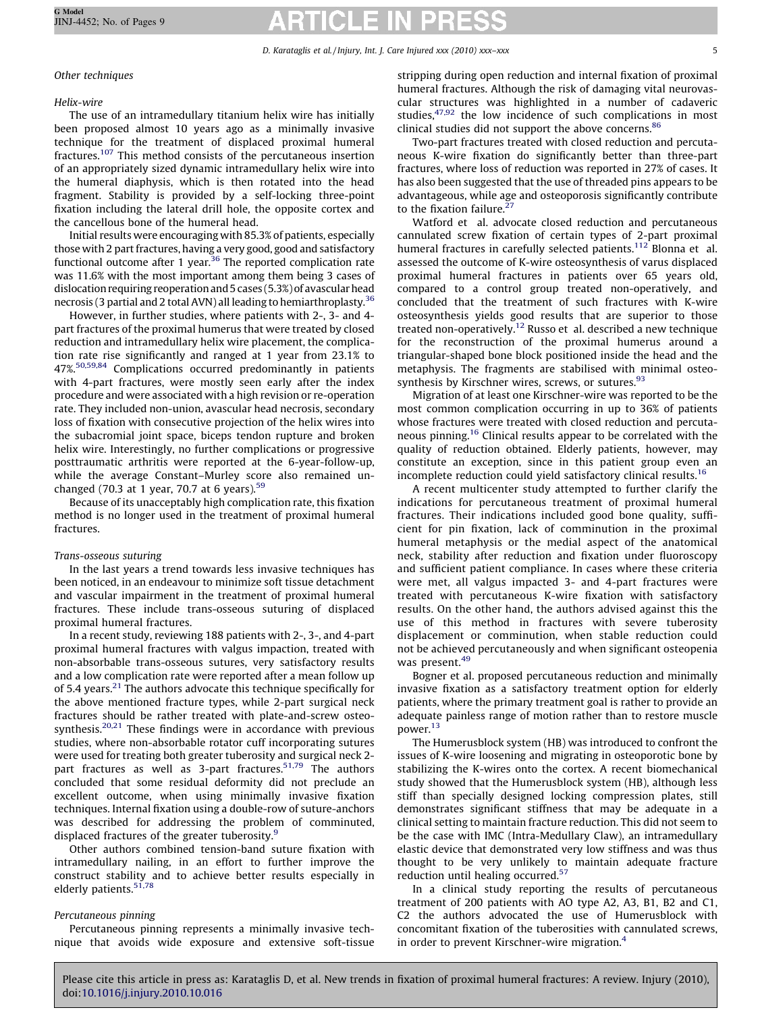# Other techniques

# Helix-wire

The use of an intramedullary titanium helix wire has initially been proposed almost 10 years ago as a minimally invasive technique for the treatment of displaced proximal humeral fractures.[107](#page-8-0) This method consists of the percutaneous insertion of an appropriately sized dynamic intramedullary helix wire into the humeral diaphysis, which is then rotated into the head fragment. Stability is provided by a self-locking three-point fixation including the lateral drill hole, the opposite cortex and the cancellous bone of the humeral head.

Initial results were encouraging with 85.3% of patients, especially those with 2 part fractures, having a very good, good and satisfactory functional outcome after 1 year.<sup>36</sup> The reported complication rate was 11.6% with the most important among them being 3 cases of dislocation requiring reoperation and 5 cases (5.3%) of avascular head necrosis (3 partial and 2 total AVN) all leading to hemiarthroplasty[.36](#page-7-0)

However, in further studies, where patients with 2-, 3- and 4 part fractures of the proximal humerus that were treated by closed reduction and intramedullary helix wire placement, the complication rate rise significantly and ranged at 1 year from 23.1% to 47%.[50,59,84](#page-7-0) Complications occurred predominantly in patients with 4-part fractures, were mostly seen early after the index procedure and were associated with a high revision or re-operation rate. They included non-union, avascular head necrosis, secondary loss of fixation with consecutive projection of the helix wires into the subacromial joint space, biceps tendon rupture and broken helix wire. Interestingly, no further complications or progressive posttraumatic arthritis were reported at the 6-year-follow-up, while the average Constant–Murley score also remained unchanged (70.3 at 1 year, 70.7 at 6 years). $59$ 

Because of its unacceptably high complication rate, this fixation method is no longer used in the treatment of proximal humeral fractures.

# Trans-osseous suturing

In the last years a trend towards less invasive techniques has been noticed, in an endeavour to minimize soft tissue detachment and vascular impairment in the treatment of proximal humeral fractures. These include trans-osseous suturing of displaced proximal humeral fractures.

In a recent study, reviewing 188 patients with 2-, 3-, and 4-part proximal humeral fractures with valgus impaction, treated with non-absorbable trans-osseous sutures, very satisfactory results and a low complication rate were reported after a mean follow up of 5.4 years.<sup>21</sup> The authors advocate this technique specifically for the above mentioned fracture types, while 2-part surgical neck fractures should be rather treated with plate-and-screw osteosynthesis.<sup>20,21</sup> These findings were in accordance with previous studies, where non-absorbable rotator cuff incorporating sutures were used for treating both greater tuberosity and surgical neck 2 part fractures as well as 3-part fractures.<sup>51,79</sup> The authors concluded that some residual deformity did not preclude an excellent outcome, when using minimally invasive fixation techniques. Internal fixation using a double-row of suture-anchors was described for addressing the problem of comminuted, displaced fractures of the greater tuberosity.<sup>[9](#page-6-0)</sup>

Other authors combined tension-band suture fixation with intramedullary nailing, in an effort to further improve the construct stability and to achieve better results especially in elderly patients.<sup>[51,78](#page-7-0)</sup>

# Percutaneous pinning

Percutaneous pinning represents a minimally invasive technique that avoids wide exposure and extensive soft-tissue stripping during open reduction and internal fixation of proximal humeral fractures. Although the risk of damaging vital neurovascular structures was highlighted in a number of cadaveric studies, $47,92$  the low incidence of such complications in most clinical studies did not support the above concerns.<sup>86</sup>

Two-part fractures treated with closed reduction and percutaneous K-wire fixation do significantly better than three-part fractures, where loss of reduction was reported in 27% of cases. It has also been suggested that the use of threaded pins appears to be advantageous, while age and osteoporosis significantly contribute to the fixation failure. $27$ 

Watford et al. advocate closed reduction and percutaneous cannulated screw fixation of certain types of 2-part proximal humeral fractures in carefully selected patients.<sup>112</sup> Blonna et al. assessed the outcome of K-wire osteosynthesis of varus displaced proximal humeral fractures in patients over 65 years old, compared to a control group treated non-operatively, and concluded that the treatment of such fractures with K-wire osteosynthesis yields good results that are superior to those treated non-operatively[.12](#page-6-0) Russo et al. described a new technique for the reconstruction of the proximal humerus around a triangular-shaped bone block positioned inside the head and the metaphysis. The fragments are stabilised with minimal osteo-synthesis by Kirschner wires, screws, or sutures.<sup>[93](#page-8-0)</sup>

Migration of at least one Kirschner-wire was reported to be the most common complication occurring in up to 36% of patients whose fractures were treated with closed reduction and percutaneous pinning.[16](#page-6-0) Clinical results appear to be correlated with the quality of reduction obtained. Elderly patients, however, may constitute an exception, since in this patient group even an incomplete reduction could yield satisfactory clinical results.<sup>[16](#page-6-0)</sup>

A recent multicenter study attempted to further clarify the indications for percutaneous treatment of proximal humeral fractures. Their indications included good bone quality, sufficient for pin fixation, lack of comminution in the proximal humeral metaphysis or the medial aspect of the anatomical neck, stability after reduction and fixation under fluoroscopy and sufficient patient compliance. In cases where these criteria were met, all valgus impacted 3- and 4-part fractures were treated with percutaneous K-wire fixation with satisfactory results. On the other hand, the authors advised against this the use of this method in fractures with severe tuberosity displacement or comminution, when stable reduction could not be achieved percutaneously and when significant osteopenia was present.<sup>[49](#page-7-0)</sup>

Bogner et al. proposed percutaneous reduction and minimally invasive fixation as a satisfactory treatment option for elderly patients, where the primary treatment goal is rather to provide an adequate painless range of motion rather than to restore muscle power.[13](#page-6-0)

The Humerusblock system (HB) was introduced to confront the issues of K-wire loosening and migrating in osteoporotic bone by stabilizing the K-wires onto the cortex. A recent biomechanical study showed that the Humerusblock system (HB), although less stiff than specially designed locking compression plates, still demonstrates significant stiffness that may be adequate in a clinical setting to maintain fracture reduction. This did not seem to be the case with IMC (Intra-Medullary Claw), an intramedullary elastic device that demonstrated very low stiffness and was thus thought to be very unlikely to maintain adequate fracture reduction until healing occurred.<sup>[57](#page-7-0)</sup>

In a clinical study reporting the results of percutaneous treatment of 200 patients with AO type A2, A3, B1, B2 and C1, C2 the authors advocated the use of Humerusblock with concomitant fixation of the tuberosities with cannulated screws, in order to prevent Kirschner-wire migration.<sup>[4](#page-6-0)</sup>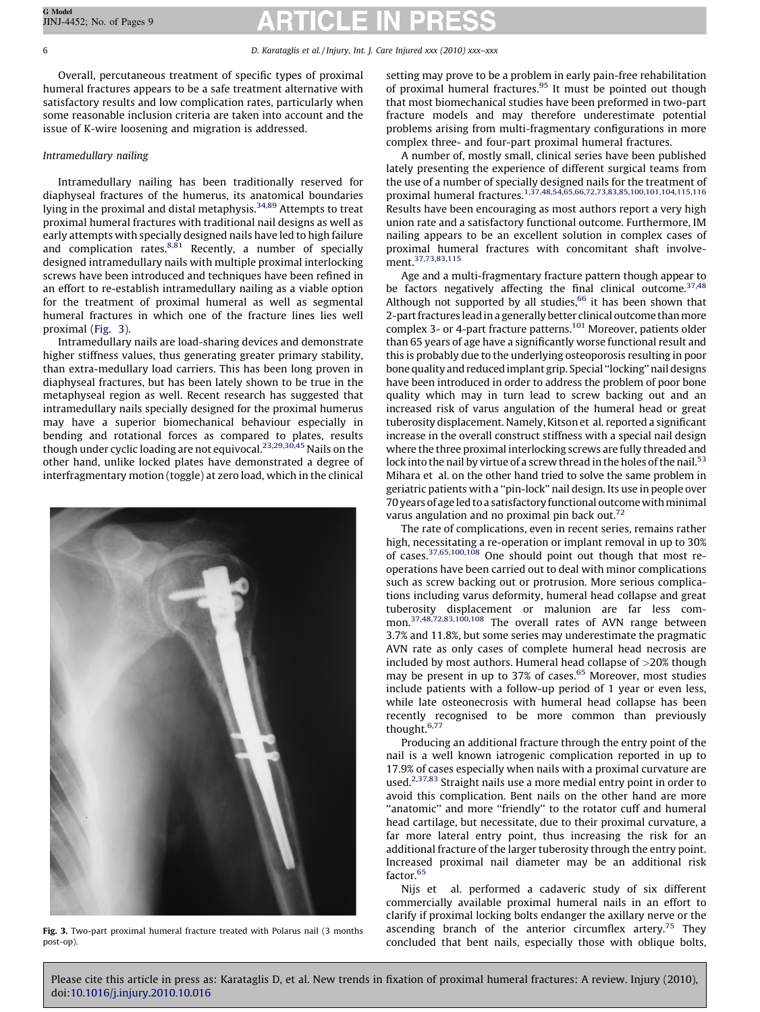Overall, percutaneous treatment of specific types of proximal humeral fractures appears to be a safe treatment alternative with satisfactory results and low complication rates, particularly when some reasonable inclusion criteria are taken into account and the issue of K-wire loosening and migration is addressed.

# Intramedullary nailing

Intramedullary nailing has been traditionally reserved for diaphyseal fractures of the humerus, its anatomical boundaries lying in the proximal and distal metaphysis.<sup>[34,89](#page-7-0)</sup> Attempts to treat proximal humeral fractures with traditional nail designs as well as early attempts with specially designed nails have led to high failure and complication rates. $8,81$  Recently, a number of specially designed intramedullary nails with multiple proximal interlocking screws have been introduced and techniques have been refined in an effort to re-establish intramedullary nailing as a viable option for the treatment of proximal humeral as well as segmental humeral fractures in which one of the fracture lines lies well proximal (Fig. 3).

Intramedullary nails are load-sharing devices and demonstrate higher stiffness values, thus generating greater primary stability, than extra-medullary load carriers. This has been long proven in diaphyseal fractures, but has been lately shown to be true in the metaphyseal region as well. Recent research has suggested that intramedullary nails specially designed for the proximal humerus may have a superior biomechanical behaviour especially in bending and rotational forces as compared to plates, results though under cyclic loading are not equivocal.[23,29,30,45](#page-7-0) Nails on the other hand, unlike locked plates have demonstrated a degree of interfragmentary motion (toggle) at zero load, which in the clinical



Fig. 3. Two-part proximal humeral fracture treated with Polarus nail (3 months post-op).

setting may prove to be a problem in early pain-free rehabilitation of proximal humeral fractures.<sup>[95](#page-8-0)</sup> It must be pointed out though that most biomechanical studies have been preformed in two-part fracture models and may therefore underestimate potential problems arising from multi-fragmentary configurations in more complex three- and four-part proximal humeral fractures.

A number of, mostly small, clinical series have been published lately presenting the experience of different surgical teams from the use of a number of specially designed nails for the treatment of proximal humeral fractures.[1,37,48,54,65,66,72,73,83,85,100,101,104,115,116](#page-6-0) Results have been encouraging as most authors report a very high union rate and a satisfactory functional outcome. Furthermore, IM nailing appears to be an excellent solution in complex cases of proximal humeral fractures with concomitant shaft involve-ment.<sup>[37,73,83,115](#page-7-0)</sup>

Age and a multi-fragmentary fracture pattern though appear to be factors negatively affecting the final clinical outcome.<sup>37,48</sup> Although not supported by all studies, $66$  it has been shown that 2-part fractures lead in a generally better clinical outcome thanmore complex 3- or 4-part fracture patterns.<sup>101</sup> Moreover, patients older than 65 years of age have a significantly worse functional result and this is probably due to the underlying osteoporosis resulting in poor bone quality and reduced implant grip. Special ''locking'' nail designs have been introduced in order to address the problem of poor bone quality which may in turn lead to screw backing out and an increased risk of varus angulation of the humeral head or great tuberosity displacement. Namely, Kitson et al. reported a significant increase in the overall construct stiffness with a special nail design where the three proximal interlocking screws are fully threaded and lock into the nail by virtue of a screw thread in the holes of the nail.<sup>[53](#page-7-0)</sup> Mihara et al. on the other hand tried to solve the same problem in geriatric patients with a ''pin-lock'' nail design. Its use in people over 70 years of age led to a satisfactory functional outcome with minimal varus angulation and no proximal pin back out.<sup>[72](#page-7-0)</sup>

The rate of complications, even in recent series, remains rather high, necessitating a re-operation or implant removal in up to 30% of cases.[37,65,100,108](#page-7-0) One should point out though that most reoperations have been carried out to deal with minor complications such as screw backing out or protrusion. More serious complications including varus deformity, humeral head collapse and great tuberosity displacement or malunion are far less com-mon.<sup>[37,48,72,83,100,108](#page-7-0)</sup> The overall rates of AVN range between 3.7% and 11.8%, but some series may underestimate the pragmatic AVN rate as only cases of complete humeral head necrosis are included by most authors. Humeral head collapse of >20% though may be present in up to 37% of cases.<sup>[65](#page-7-0)</sup> Moreover, most studies include patients with a follow-up period of 1 year or even less, while late osteonecrosis with humeral head collapse has been recently recognised to be more common than previously thought[.6,77](#page-6-0)

Producing an additional fracture through the entry point of the nail is a well known iatrogenic complication reported in up to 17.9% of cases especially when nails with a proximal curvature are used.<sup>[2,37,83](#page-6-0)</sup> Straight nails use a more medial entry point in order to avoid this complication. Bent nails on the other hand are more "anatomic" and more "friendly" to the rotator cuff and humeral head cartilage, but necessitate, due to their proximal curvature, a far more lateral entry point, thus increasing the risk for an additional fracture of the larger tuberosity through the entry point. Increased proximal nail diameter may be an additional risk factor.<sup>[65](#page-7-0)</sup>

Nijs et al. performed a cadaveric study of six different commercially available proximal humeral nails in an effort to clarify if proximal locking bolts endanger the axillary nerve or the ascending branch of the anterior circumflex artery.<sup>[75](#page-7-0)</sup> They concluded that bent nails, especially those with oblique bolts,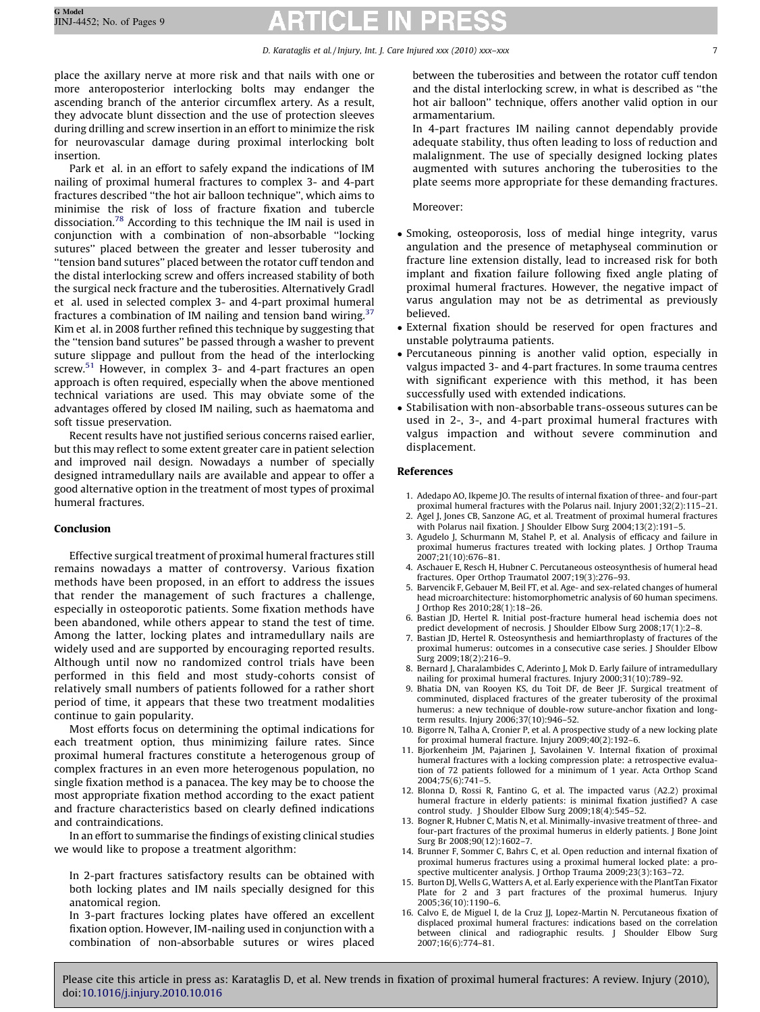### D. Karataglis et al. / Injury, Int. J. Care Injured xxx (2010) xxx–xxx 7

<span id="page-6-0"></span>place the axillary nerve at more risk and that nails with one or more anteroposterior interlocking bolts may endanger the ascending branch of the anterior circumflex artery. As a result, they advocate blunt dissection and the use of protection sleeves during drilling and screw insertion in an effort to minimize the risk for neurovascular damage during proximal interlocking bolt insertion.

Park et al. in an effort to safely expand the indications of IM nailing of proximal humeral fractures to complex 3- and 4-part fractures described ''the hot air balloon technique'', which aims to minimise the risk of loss of fracture fixation and tubercle dissociation[.78](#page-8-0) According to this technique the IM nail is used in conjunction with a combination of non-absorbable ''locking sutures'' placed between the greater and lesser tuberosity and ''tension band sutures'' placed between the rotator cuff tendon and the distal interlocking screw and offers increased stability of both the surgical neck fracture and the tuberosities. Alternatively Gradl et al. used in selected complex 3- and 4-part proximal humeral fractures a combination of IM nailing and tension band wiring. $37$ Kim et al. in 2008 further refined this technique by suggesting that the ''tension band sutures'' be passed through a washer to prevent suture slippage and pullout from the head of the interlocking screw.<sup>[51](#page-7-0)</sup> However, in complex 3- and 4-part fractures an open approach is often required, especially when the above mentioned technical variations are used. This may obviate some of the advantages offered by closed IM nailing, such as haematoma and soft tissue preservation.

Recent results have not justified serious concerns raised earlier, but this may reflect to some extent greater care in patient selection and improved nail design. Nowadays a number of specially designed intramedullary nails are available and appear to offer a good alternative option in the treatment of most types of proximal humeral fractures.

### Conclusion

Effective surgical treatment of proximal humeral fractures still remains nowadays a matter of controversy. Various fixation methods have been proposed, in an effort to address the issues that render the management of such fractures a challenge, especially in osteoporotic patients. Some fixation methods have been abandoned, while others appear to stand the test of time. Among the latter, locking plates and intramedullary nails are widely used and are supported by encouraging reported results. Although until now no randomized control trials have been performed in this field and most study-cohorts consist of relatively small numbers of patients followed for a rather short period of time, it appears that these two treatment modalities continue to gain popularity.

Most efforts focus on determining the optimal indications for each treatment option, thus minimizing failure rates. Since proximal humeral fractures constitute a heterogenous group of complex fractures in an even more heterogenous population, no single fixation method is a panacea. The key may be to choose the most appropriate fixation method according to the exact patient and fracture characteristics based on clearly defined indications and contraindications.

In an effort to summarise the findings of existing clinical studies we would like to propose a treatment algorithm:

In 2-part fractures satisfactory results can be obtained with both locking plates and IM nails specially designed for this anatomical region.

In 3-part fractures locking plates have offered an excellent fixation option. However, IM-nailing used in conjunction with a combination of non-absorbable sutures or wires placed between the tuberosities and between the rotator cuff tendon and the distal interlocking screw, in what is described as ''the hot air balloon'' technique, offers another valid option in our armamentarium.

In 4-part fractures IM nailing cannot dependably provide adequate stability, thus often leading to loss of reduction and malalignment. The use of specially designed locking plates augmented with sutures anchoring the tuberosities to the plate seems more appropriate for these demanding fractures.

### Moreover:

- Smoking, osteoporosis, loss of medial hinge integrity, varus angulation and the presence of metaphyseal comminution or fracture line extension distally, lead to increased risk for both implant and fixation failure following fixed angle plating of proximal humeral fractures. However, the negative impact of varus angulation may not be as detrimental as previously believed.
- External fixation should be reserved for open fractures and unstable polytrauma patients.
- Percutaneous pinning is another valid option, especially in valgus impacted 3- and 4-part fractures. In some trauma centres with significant experience with this method, it has been successfully used with extended indications.
- Stabilisation with non-absorbable trans-osseous sutures can be used in 2-, 3-, and 4-part proximal humeral fractures with valgus impaction and without severe comminution and displacement.

### References

- 1. Adedapo AO, Ikpeme JO. The results of internal fixation of three- and four-part proximal humeral fractures with the Polarus nail. Injury 2001;32(2):115–21.
- 2. Agel J, Jones CB, Sanzone AG, et al. Treatment of proximal humeral fractures with Polarus nail fixation. J Shoulder Elbow Surg 2004;13(2):191-5.
- 3. Agudelo J, Schurmann M, Stahel P, et al. Analysis of efficacy and failure in proximal humerus fractures treated with locking plates. J Orthop Trauma 2007;21(10):676–81.
- 4. Aschauer E, Resch H, Hubner C. Percutaneous osteosynthesis of humeral head fractures. Oper Orthop Traumatol 2007;19(3):276–93.
- 5. Barvencik F, Gebauer M, Beil FT, et al. Age- and sex-related changes of humeral head microarchitecture: histomorphometric analysis of 60 human specimens. J Orthop Res 2010;28(1):18–26.
- 6. Bastian JD, Hertel R. Initial post-fracture humeral head ischemia does not predict development of necrosis. J Shoulder Elbow Surg 2008;17(1):2–8.
- 7. Bastian JD, Hertel R. Osteosynthesis and hemiarthroplasty of fractures of the proximal humerus: outcomes in a consecutive case series. J Shoulder Elbow Surg 2009;18(2):216–9.
- 8. Bernard J, Charalambides C, Aderinto J, Mok D. Early failure of intramedullary nailing for proximal humeral fractures. Injury 2000;31(10):789–92.
- 9. Bhatia DN, van Rooyen KS, du Toit DF, de Beer JF. Surgical treatment of comminuted, displaced fractures of the greater tuberosity of the proximal humerus: a new technique of double-row suture-anchor fixation and longterm results. Injury 2006;37(10):946–52.
- 10. Bigorre N, Talha A, Cronier P, et al. A prospective study of a new locking plate for proximal humeral fracture. Injury 2009;40(2):192–6.
- 11. Bjorkenheim JM, Pajarinen J, Savolainen V. Internal fixation of proximal humeral fractures with a locking compression plate: a retrospective evaluation of 72 patients followed for a minimum of 1 year. Acta Orthop Scand 2004;75(6):741–5.
- 12. Blonna D, Rossi R, Fantino G, et al. The impacted varus (A2.2) proximal humeral fracture in elderly patients: is minimal fixation justified? A case control study. J Shoulder Elbow Surg 2009;18(4):545–52.
- 13. Bogner R, Hubner C, Matis N, et al. Minimally-invasive treatment of three- and four-part fractures of the proximal humerus in elderly patients. J Bone Joint Surg Br 2008;90(12):1602–7.
- 14. Brunner F, Sommer C, Bahrs C, et al. Open reduction and internal fixation of proximal humerus fractures using a proximal humeral locked plate: a prospective multicenter analysis. J Orthop Trauma 2009;23(3):163–72.
- 15. Burton DJ, Wells G, Watters A, et al. Early experience with the PlantTan Fixator Plate for 2 and 3 part fractures of the proximal humerus. Injury 2005;36(10):1190–6.
- 16. Calvo E, de Miguel I, de la Cruz JJ, Lopez-Martin N. Percutaneous fixation of displaced proximal humeral fractures: indications based on the correlation between clinical and radiographic results. J Shoulder Elbow Surg 2007;16(6):774–81.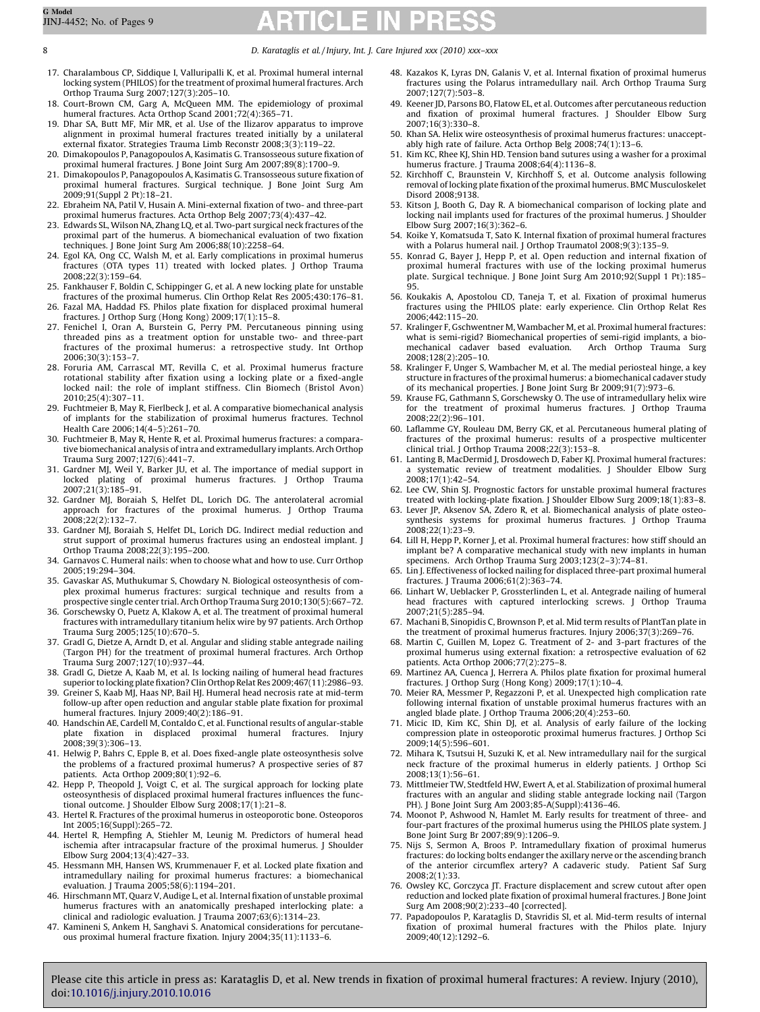<span id="page-7-0"></span>8 D. Karataglis et al. / Injury, Int. J. Care Injured xxx (2010) xxx–xxx

- 17. Charalambous CP, Siddique I, Valluripalli K, et al. Proximal humeral internal locking system (PHILOS) for the treatment of proximal humeral fractures. Arch Orthop Trauma Surg 2007;127(3):205–10.
- 18. Court-Brown CM, Garg A, McQueen MM. The epidemiology of proximal humeral fractures. Acta Orthop Scand 2001;72(4):365-71.
- 19. Dhar SA, Butt MF, Mir MR, et al. Use of the Ilizarov apparatus to improve alignment in proximal humeral fractures treated initially by a unilateral external fixator. Strategies Trauma Limb Reconstr 2008;3(3):119–22.
- 20. Dimakopoulos P, Panagopoulos A, Kasimatis G. Transosseous suture fixation of proximal humeral fractures. J Bone Joint Surg Am 2007;89(8):1700–9.
- 21. Dimakopoulos P, Panagopoulos A, Kasimatis G. Transosseous suture fixation of proximal humeral fractures. Surgical technique. J Bone Joint Surg Am 2009;91(Suppl 2 Pt):18–21.
- 22. Ebraheim NA, Patil V, Husain A. Mini-external fixation of two- and three-part proximal humerus fractures. Acta Orthop Belg 2007;73(4):437–42.
- 23. Edwards SL, Wilson NA, Zhang LQ, et al. Two-part surgical neck fractures of the proximal part of the humerus. A biomechanical evaluation of two fixation techniques. J Bone Joint Surg Am 2006;88(10):2258–64.
- 24. Egol KA, Ong CC, Walsh M, et al. Early complications in proximal humerus fractures (OTA types 11) treated with locked plates. J Orthop Trauma 2008;22(3):159–64.
- 25. Fankhauser F, Boldin C, Schippinger G, et al. A new locking plate for unstable fractures of the proximal humerus. Clin Orthop Relat Res 2005;430:176–81.
- 26. Fazal MA, Haddad FS. Philos plate fixation for displaced proximal humeral fractures. J Orthop Surg (Hong Kong) 2009;17(1):15–8.
- 27. Fenichel I, Oran A, Burstein G, Perry PM. Percutaneous pinning using threaded pins as a treatment option for unstable two- and three-part fractures of the proximal humerus: a retrospective study. Int Orthop 2006;30(3):153–7.
- 28. Foruria AM, Carrascal MT, Revilla C, et al. Proximal humerus fracture rotational stability after fixation using a locking plate or a fixed-angle locked nail: the role of implant stiffness. Clin Biomech (Bristol Avon) 2010;25(4):307–11.
- 29. Fuchtmeier B, May R, Fierlbeck J, et al. A comparative biomechanical analysis of implants for the stabilization of proximal humerus fractures. Technol Health Care 2006;14(4–5):261–70.
- 30. Fuchtmeier B, May R, Hente R, et al. Proximal humerus fractures: a comparative biomechanical analysis of intra and extramedullary implants. Arch Orthop Trauma Surg 2007;127(6):441–7.
- 31. Gardner MJ, Weil Y, Barker JU, et al. The importance of medial support in locked plating of proximal humerus fractures. J Orthop Trauma 2007;21(3):185–91.
- 32. Gardner MJ, Boraiah S, Helfet DL, Lorich DG. The anterolateral acromial approach for fractures of the proximal humerus. J Orthop Trauma 2008;22(2):132–7.
- 33. Gardner MJ, Boraiah S, Helfet DL, Lorich DG. Indirect medial reduction and strut support of proximal humerus fractures using an endosteal implant. J Orthop Trauma 2008;22(3):195–200.
- 34. Garnavos C. Humeral nails: when to choose what and how to use. Curr Orthop 2005;19:294–304.
- 35. Gavaskar AS, Muthukumar S, Chowdary N. Biological osteosynthesis of complex proximal humerus fractures: surgical technique and results from a prospective single center trial. Arch Orthop Trauma Surg 2010;130(5):667–72.
- 36. Gorschewsky O, Puetz A, Klakow A, et al. The treatment of proximal humeral fractures with intramedullary titanium helix wire by 97 patients. Arch Orthop Trauma Surg 2005;125(10):670–5.
- 37. Gradl G, Dietze A, Arndt D, et al. Angular and sliding stable antegrade nailing (Targon PH) for the treatment of proximal humeral fractures. Arch Orthop Trauma Surg 2007;127(10):937–44.
- 38. Gradl G, Dietze A, Kaab M, et al. Is locking nailing of humeral head fractures superior to locking plate fixation? Clin Orthop Relat Res 2009;467(11):2986–93.
- 39. Greiner S, Kaab MJ, Haas NP, Bail HJ. Humeral head necrosis rate at mid-term follow-up after open reduction and angular stable plate fixation for proximal humeral fractures. Injury 2009;40(2):186–91.
- 40. Handschin AE, Cardell M, Contaldo C, et al. Functional results of angular-stable<br>plate fixation in displaced proximal humeral fractures. Injury displaced proximal humeral fractures. Injury 2008;39(3):306–13.
- 41. Helwig P, Bahrs C, Epple B, et al. Does fixed-angle plate osteosynthesis solve the problems of a fractured proximal humerus? A prospective series of 87 patients. Acta Orthop 2009;80(1):92–6.
- 42. Hepp P, Theopold J, Voigt C, et al. The surgical approach for locking plate osteosynthesis of displaced proximal humeral fractures influences the functional outcome. J Shoulder Elbow Surg 2008;17(1):21–8.
- 43. Hertel R. Fractures of the proximal humerus in osteoporotic bone. Osteoporos Int 2005;16(Suppl):265–72.
- 44. Hertel R, Hempfing A, Stiehler M, Leunig M. Predictors of humeral head ischemia after intracapsular fracture of the proximal humerus. J Shoulder Elbow Surg 2004;13(4):427–33.
- 45. Hessmann MH, Hansen WS, Krummenauer F, et al. Locked plate fixation and intramedullary nailing for proximal humerus fractures: a biomechanical evaluation. J Trauma 2005;58(6):1194–201.
- 46. Hirschmann MT, Quarz V, Audige L, et al. Internal fixation of unstable proximal humerus fractures with an anatomically preshaped interlocking plate: a clinical and radiologic evaluation. J Trauma 2007;63(6):1314–23.
- 47. Kamineni S, Ankem H, Sanghavi S. Anatomical considerations for percutaneous proximal humeral fracture fixation. Injury 2004;35(11):1133–6.
- 48. Kazakos K, Lyras DN, Galanis V, et al. Internal fixation of proximal humerus fractures using the Polarus intramedullary nail. Arch Orthop Trauma Surg 2007;127(7):503–8.
- 49. Keener JD, Parsons BO, Flatow EL, et al. Outcomes after percutaneous reduction and fixation of proximal humeral fractures. J Shoulder Elbow Surg 2007;16(3):330–8.
- 50. Khan SA. Helix wire osteosynthesis of proximal humerus fractures: unacceptably high rate of failure. Acta Orthop Belg 2008;74(1):13–6.
- 51. Kim KC, Rhee KJ, Shin HD. Tension band sutures using a washer for a proximal humerus fracture. J Trauma 2008;64(4):1136–8.
- 52. Kirchhoff C, Braunstein V, Kirchhoff S, et al. Outcome analysis following removal of locking plate fixation of the proximal humerus. BMC Musculoskelet Disord 2008;9138.
- 53. Kitson J, Booth G, Day R. A biomechanical comparison of locking plate and locking nail implants used for fractures of the proximal humerus. J Shoulder Elbow Surg 2007;16(3):362–6.
- 54. Koike Y, Komatsuda T, Sato K. Internal fixation of proximal humeral fractures with a Polarus humeral nail. J Orthop Traumatol 2008;9(3):135–9.
- 55. Konrad G, Bayer J, Hepp P, et al. Open reduction and internal fixation of proximal humeral fractures with use of the locking proximal humerus plate. Surgical technique. J Bone Joint Surg Am 2010;92(Suppl 1 Pt):185– 95.
- 56. Koukakis A, Apostolou CD, Taneja T, et al. Fixation of proximal humerus fractures using the PHILOS plate: early experience. Clin Orthop Relat Res 2006;442:115–20.
- 57. Kralinger F, Gschwentner M, Wambacher M, et al. Proximal humeral fractures: what is semi-rigid? Biomechanical properties of semi-rigid implants, a bio-<br>mechanical cadaver based evaluation. Arch Orthop Trauma Surg mechanical cadaver based evaluation. 2008;128(2):205–10.
- 58. Kralinger F, Unger S, Wambacher M, et al. The medial periosteal hinge, a key structure in fractures of the proximal humerus: a biomechanical cadaver study of its mechanical properties. J Bone Joint Surg Br 2009;91(7):973–6.
- 59. Krause FG, Gathmann S, Gorschewsky O. The use of intramedullary helix wire for the treatment of proximal humerus fractures. J Orthop Trauma 2008;22(2):96–101.
- 60. Laflamme GY, Rouleau DM, Berry GK, et al. Percutaneous humeral plating of fractures of the proximal humerus: results of a prospective multicenter clinical trial. J Orthop Trauma 2008;22(3):153–8.
- 61. Lanting B, MacDermid J, Drosdowech D, Faber KJ. Proximal humeral fractures: a systematic review of treatment modalities. J Shoulder Elbow Surg 2008;17(1):42–54.
- 62. Lee CW, Shin SJ. Prognostic factors for unstable proximal humeral fractures<br>8–18:1):83 treated with locking-plate fixation. J Shoulder Elbow Surg 2009;18<br>-63. Lever JP, Aksenov SA, Zdero R, et al. Biomechanical analysi
- synthesis systems for proximal humerus fractures. J Orthop Trauma  $2008:22(1):23-9.$
- 64. Lill H, Hepp P, Korner J, et al. Proximal humeral fractures: how stiff should an implant be? A comparative mechanical study with new implants in human specimens. Arch Orthop Trauma Surg 2003;123(2–3):74–81.
- 65. Lin J. Effectiveness of locked nailing for displaced three-part proximal humeral fractures. J Trauma 2006;61(2):363–74.
- 66. Linhart W, Ueblacker P, Grossterlinden L, et al. Antegrade nailing of humeral head fractures with captured interlocking screws. J Orthop Trauma 2007;21(5):285–94.
- 67. Machani B, Sinopidis C, Brownson P, et al. Mid term results of PlantTan plate in the treatment of proximal humerus fractures. Injury 2006;37(3):269–76.
- 68. Martin C, Guillen M, Lopez G. Treatment of 2- and 3-part fractures of the proximal humerus using external fixation: a retrospective evaluation of 62 patients. Acta Orthop 2006;77(2):275–8.
- 69. Martinez AA, Cuenca J, Herrera A. Philos plate fixation for proximal humeral fractures. J Orthop Surg (Hong Kong) 2009;17(1):10–4.
- 70. Meier RA, Messmer P, Regazzoni P, et al. Unexpected high complication rate following internal fixation of unstable proximal humerus fractures with an angled blade plate. J Orthop Trauma 2006;20(4):253–60.
- 71. Micic ID, Kim KC, Shin DJ, et al. Analysis of early failure of the locking compression plate in osteoporotic proximal humerus fractures. J Orthop Sci 2009;14(5):596–601.
- 72. Mihara K, Tsutsui H, Suzuki K, et al. New intramedullary nail for the surgical neck fracture of the proximal humerus in elderly patients. J Orthop Sci 2008;13(1):56–61.
- 73. Mittlmeier TW, Stedtfeld HW, Ewert A, et al. Stabilization of proximal humeral fractures with an angular and sliding stable antegrade locking nail (Targon PH). J Bone Joint Surg Am 2003;85-A(Suppl):4136–46.
- 74. Moonot P, Ashwood N, Hamlet M. Early results for treatment of three- and four-part fractures of the proximal humerus using the PHILOS plate system. J Bone Joint Surg Br 2007;89(9):1206–9.
- 75. Nijs S, Sermon A, Broos P. Intramedullary fixation of proximal humerus fractures: do locking bolts endanger the axillary nerve or the ascending branch of the anterior circumflex artery? A cadaveric study. Patient Saf Surg 2008;2(1):33.
- 76. Owsley KC, Gorczyca JT. Fracture displacement and screw cutout after open reduction and locked plate fixation of proximal humeral fractures. J Bone Joint Surg Am 2008;90(2):233–40 [corrected].
- 77. Papadopoulos P, Karataglis D, Stavridis SI, et al. Mid-term results of internal fixation of proximal humeral fractures with the Philos plate. Injury 2009;40(12):1292–6.